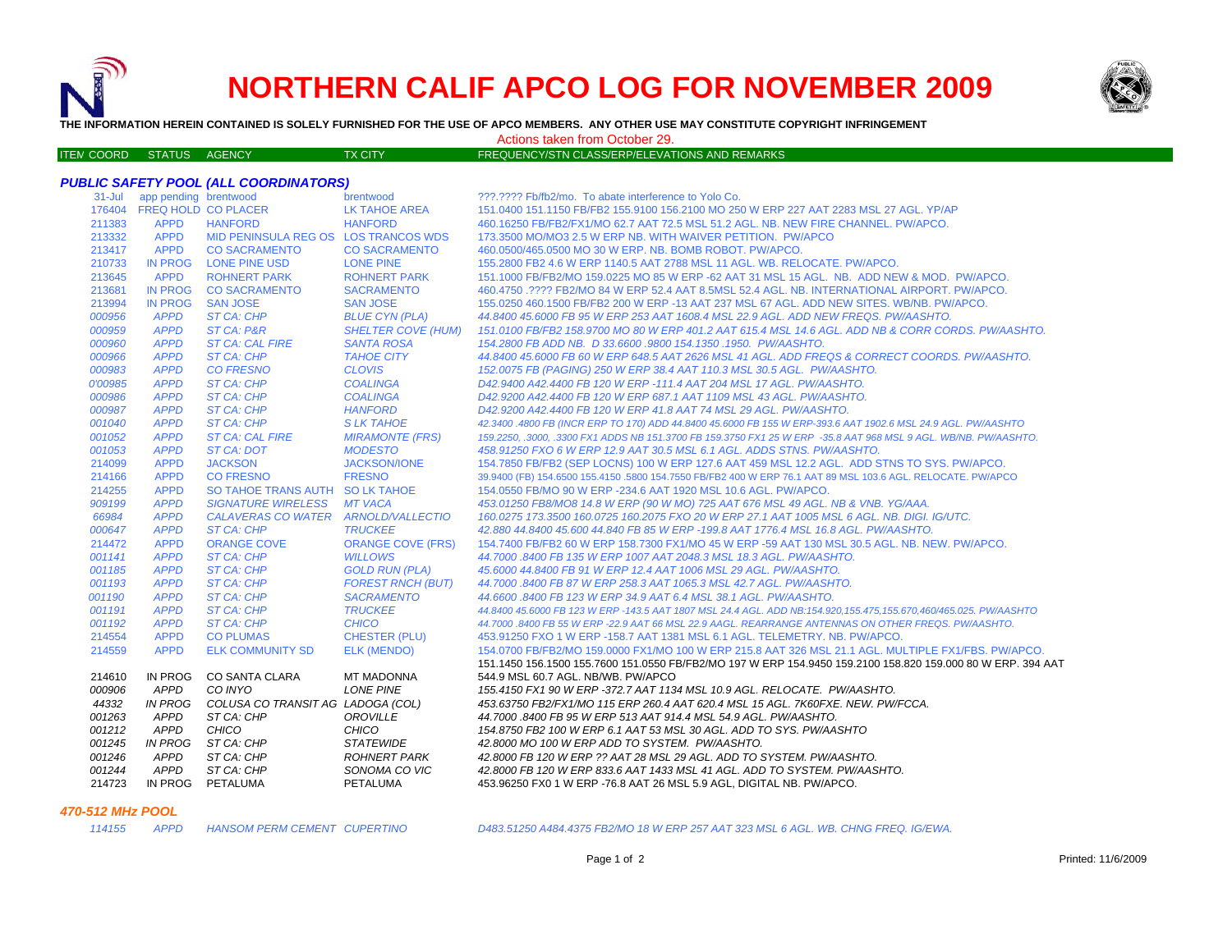

ITE M

# **NORTHERN CALIF APCO LOG FOR NOVEMBER 2009**



**THE INFORMATION HEREIN CONTAINED IS SOLELY FURNISHED FOR THE USE OF APCO MEMBERS. ANY OTHER USE MAY CONSTITUTE COPYRIGHT INFRINGEMENT**

M COORD STATUS AGENCY TX CITY TREQUENCY/STN CLASS/ERP/ELEVATIONS AND REMARKS Actions taken from October 29.

## *PUBLIC SAFETY POOL (ALL COORDINATORS)*

| app pending brentwood                                                     | ???.???? Fb/fb2/mo. To abate interference to Yolo Co.                                                            |
|---------------------------------------------------------------------------|------------------------------------------------------------------------------------------------------------------|
| 176404 FREQ HOLD CO PLACER<br>LK TAHOE AREA                               | 151.0400 151.1150 FB/FB2 155.9100 156.2100 MO 250 W ERP 227 AAT 2283 MSL 27 AGL. YP/AP                           |
| 211383<br><b>APPD</b><br><b>HANFORD</b><br><b>HANFORD</b>                 | 460.16250 FB/FB2/FX1/MO 62.7 AAT 72.5 MSL 51.2 AGL. NB. NEW FIRE CHANNEL, PW/APCO.                               |
| 213332<br><b>APPD</b><br>MID PENINSULA REG OS LOS TRANCOS WDS             | 173.3500 MO/MO3 2.5 W ERP NB. WITH WAIVER PETITION. PW/APCO                                                      |
| 213417<br><b>APPD</b><br><b>CO SACRAMENTO</b><br><b>CO SACRAMENTO</b>     | 460.0500/465.0500 MO 30 W ERP. NB. BOMB ROBOT, PW/APCO.                                                          |
| 210733<br><b>IN PROG</b><br>LONE PINE USD<br><b>LONE PINE</b>             | 155,2800 FB2 4.6 W ERP 1140.5 AAT 2788 MSL 11 AGL, WB, RELOCATE, PW/APCO,                                        |
| 213645<br><b>APPD</b><br><b>ROHNERT PARK</b><br><b>ROHNERT PARK</b>       | 151.1000 FB/FB2/MO 159.0225 MO 85 W ERP -62 AAT 31 MSL 15 AGL. NB. ADD NEW & MOD. PW/APCO.                       |
| <b>IN PROG</b><br>213681<br><b>CO SACRAMENTO</b><br><b>SACRAMENTO</b>     | 460.4750.???? FB2/MO 84 W ERP 52.4 AAT 8.5MSL 52.4 AGL. NB. INTERNATIONAL AIRPORT. PW/APCO.                      |
| 213994<br><b>IN PROG</b><br><b>SAN JOSE</b><br><b>SAN JOSE</b>            | 155.0250 460.1500 FB/FB2 200 W ERP -13 AAT 237 MSL 67 AGL. ADD NEW SITES, WB/NB, PW/APCO,                        |
| 000956<br><b>APPD</b><br>ST CA: CHP<br><b>BLUE CYN (PLA)</b>              | 44.8400 45.6000 FB 95 W ERP 253 AAT 1608.4 MSL 22.9 AGL. ADD NEW FREQS. PW/AASHTO.                               |
| <b>APPD</b><br>000959<br>ST CA: P&R<br><b>SHELTER COVE (HUM)</b>          | 151.0100 FB/FB2 158.9700 MO 80 W ERP 401.2 AAT 615.4 MSL 14.6 AGL. ADD NB & CORR CORDS. PW/AASHTO.               |
| 000960<br><b>APPD</b><br><b>ST CA: CAL FIRE</b><br><b>SANTA ROSA</b>      | 154.2800 FB ADD NB. D 33.6600 .9800 154.1350 .1950. PW/AASHTO.                                                   |
| 000966<br><b>APPD</b><br>ST CA: CHP<br><b>TAHOE CITY</b>                  | 44.8400 45.6000 FB 60 W ERP 648.5 AAT 2626 MSL 41 AGL. ADD FREQS & CORRECT COORDS. PW/AASHTO.                    |
| <b>CLOVIS</b><br>000983<br><b>APPD</b><br><b>CO FRESNO</b>                | 152.0075 FB (PAGING) 250 W ERP 38.4 AAT 110.3 MSL 30.5 AGL. PW/AASHTO.                                           |
| <b>APPD</b><br><b>COALINGA</b><br>0'00985<br>ST CA: CHP                   | D42.9400 A42.4400 FB 120 W ERP -111.4 AAT 204 MSL 17 AGL, PW/AASHTO.                                             |
| 000986<br><b>APPD</b><br>ST CA: CHP<br><b>COALINGA</b>                    | D42.9200 A42.4400 FB 120 W ERP 687.1 AAT 1109 MSL 43 AGL. PW/AASHTO.                                             |
| 000987<br><b>APPD</b><br><b>ST CA: CHP</b><br><b>HANFORD</b>              | D42.9200 A42.4400 FB 120 W ERP 41.8 AAT 74 MSL 29 AGL, PW/AASHTO.                                                |
| 001040<br><b>APPD</b><br><b>ST CA: CHP</b><br><b>SLK TAHOE</b>            | 42.3400 .4800 FB (INCR ERP TO 170) ADD 44.8400 45.6000 FB 155 W ERP-393.6 AAT 1902.6 MSL 24.9 AGL. PW/AASHTO     |
| 001052<br><b>APPD</b><br><b>ST CA: CAL FIRE</b><br><b>MIRAMONTE (FRS)</b> | 159.2250, .3000, .3300 FX1 ADDS NB 151.3700 FB 159.3750 FX1 25 W ERP -35.8 AAT 968 MSL 9 AGL. WB/NB. PW/AASHTO.  |
| 001053<br><b>APPD</b><br>ST CA: DOT<br><b>MODESTO</b>                     | 458.91250 FXO 6 W ERP 12.9 AAT 30.5 MSL 6.1 AGL. ADDS STNS. PW/AASHTO.                                           |
| 214099<br><b>APPD</b><br><b>JACKSON</b><br><b>JACKSON/IONE</b>            | 154.7850 FB/FB2 (SEP LOCNS) 100 W ERP 127.6 AAT 459 MSL 12.2 AGL. ADD STNS TO SYS. PW/APCO.                      |
| 214166<br><b>APPD</b><br><b>FRESNO</b><br>CO FRESNO                       | 39,9400 (FB) 154,6500 155,4150 ,5800 154,7550 FB/FB2 400 W ERP 76.1 AAT 89 MSL 103.6 AGL, RELOCATE, PW/APCO      |
| 214255<br><b>APPD</b><br>SO TAHOE TRANS AUTH SO LK TAHOE                  | 154.0550 FB/MO 90 W ERP -234.6 AAT 1920 MSL 10.6 AGL. PW/APCO.                                                   |
| 909199<br><b>APPD</b><br><b>SIGNATURE WIRELESS</b><br><b>MT VACA</b>      | 453.01250 FB8/MO8 14.8 W ERP (90 W MO) 725 AAT 676 MSL 49 AGL. NB & VNB. YG/AAA.                                 |
| 66984<br><b>APPD</b><br>CALAVERAS CO WATER ARNOLD/VALLECTIO               | 160.0275 173.3500 160.0725 160.2075 FXO 20 W ERP 27.1 AAT 1005 MSL 6 AGL, NB, DIGI, IG/UTC,                      |
| 000647<br><b>APPD</b><br><b>ST CA: CHP</b><br><b>TRUCKEE</b>              | 42.880 44.8400 45.600 44.840 FB 85 W ERP -199.8 AAT 1776.4 MSL 16.8 AGL. PW/AASHTO.                              |
| <b>ORANGE COVE (FRS)</b><br>214472<br><b>APPD</b><br><b>ORANGE COVE</b>   | 154.7400 FB/FB2 60 W ERP 158.7300 FX1/MO 45 W ERP -59 AAT 130 MSL 30.5 AGL, NB, NEW, PW/APCO,                    |
| 001141<br><b>APPD</b><br><b>ST CA: CHP</b><br><b>WILLOWS</b>              | 44.7000 .8400 FB 135 W ERP 1007 AAT 2048.3 MSL 18.3 AGL. PW/AASHTO.                                              |
| 001185<br><b>APPD</b><br>ST CA: CHP<br><b>GOLD RUN (PLA)</b>              | 45,6000 44,8400 FB 91 W ERP 12.4 AAT 1006 MSL 29 AGL, PW/AASHTO.                                                 |
| 001193<br><b>APPD</b><br><b>FOREST RNCH (BUT)</b><br>ST CA: CHP           | 44.7000 .8400 FB 87 W ERP 258.3 AAT 1065.3 MSL 42.7 AGL. PW/AASHTO.                                              |
| 001190<br><b>APPD</b><br>ST CA: CHP<br><b>SACRAMENTO</b>                  | 44,6600,8400 FB 123 W ERP 34.9 AAT 6.4 MSL 38.1 AGL, PW/AASHTO.                                                  |
| <b>TRUCKEE</b><br>001191<br><b>APPD</b><br>ST CA: CHP                     | 44.8400 45.6000 FB 123 W ERP -143.5 AAT 1807 MSL 24.4 AGL. ADD NB:154.920,155.475,155.670,460/465.025. PW/AASHTO |
| <b>CHICO</b><br>001192<br><b>APPD</b><br>ST CA: CHP                       | 44.7000 .8400 FB 55 W ERP -22.9 AAT 66 MSL 22.9 AAGL. REARRANGE ANTENNAS ON OTHER FREQS. PW/AASHTO.              |
| 214554<br><b>APPD</b><br><b>CO PLUMAS</b><br><b>CHESTER (PLU)</b>         | 453.91250 FXO 1 W ERP -158.7 AAT 1381 MSL 6.1 AGL. TELEMETRY. NB. PW/APCO.                                       |
| 214559<br><b>APPD</b><br><b>ELK COMMUNITY SD</b><br><b>ELK (MENDO)</b>    | 154.0700 FB/FB2/MO 159.0000 FX1/MO 100 W ERP 215.8 AAT 326 MSL 21.1 AGL. MULTIPLE FX1/FBS. PW/APCO.              |
|                                                                           | 151.1450 156.1500 155.7600 151.0550 FB/FB2/MO 197 W ERP 154.9450 159.2100 158.820 159.000 80 W ERP. 394 AAT      |
| IN PROG<br>CO SANTA CLARA<br><b>MT MADONNA</b><br>214610                  | 544.9 MSL 60.7 AGL. NB/WB. PW/APCO                                                                               |
| 000906<br><b>APPD</b><br>CO INYO<br><b>LONE PINE</b>                      | 155.4150 FX1 90 W ERP -372.7 AAT 1134 MSL 10.9 AGL. RELOCATE. PW/AASHTO.                                         |
| 44332<br>IN PROG<br>COLUSA CO TRANSIT AG LADOGA (COL)                     | 453.63750 FB2/FX1/MO 115 ERP 260.4 AAT 620.4 MSL 15 AGL. 7K60FXE. NEW. PW/FCCA.                                  |
| <b>APPD</b><br>001263<br>ST CA: CHP<br><b>OROVILLE</b>                    | 44.7000 .8400 FB 95 W ERP 513 AAT 914.4 MSL 54.9 AGL. PW/AASHTO.                                                 |
| 001212<br><b>APPD</b><br>CHICO<br><b>CHICO</b>                            | 154.8750 FB2 100 W ERP 6.1 AAT 53 MSL 30 AGL. ADD TO SYS. PW/AASHTO                                              |
| ST CA: CHP<br><b>STATEWIDE</b><br>001245<br>IN PROG                       | 42.8000 MO 100 W ERP ADD TO SYSTEM. PW/AASHTO.                                                                   |
| 001246<br><b>APPD</b><br>ST CA: CHP<br><b>ROHNERT PARK</b>                | 42.8000 FB 120 W ERP ?? AAT 28 MSL 29 AGL. ADD TO SYSTEM. PW/AASHTO.                                             |
| APPD<br>001244<br>ST CA: CHP<br>SONOMA CO VIC                             | 42.8000 FB 120 W ERP 833.6 AAT 1433 MSL 41 AGL. ADD TO SYSTEM. PW/AASHTO.                                        |
| 214723<br>IN PROG PETALUMA<br>PETALUMA                                    | 453.96250 FX0 1 W ERP -76.8 AAT 26 MSL 5.9 AGL, DIGITAL NB. PW/APCO.                                             |

#### *470-512 MHz POOL*

 *APPD HANSOM PERM CEMENT CUPERTINO D483.51250 A484.4375 FB2/MO 18 W ERP 257 AAT 323 MSL 6 AGL. WB. CHNG FREQ. IG/EWA.*